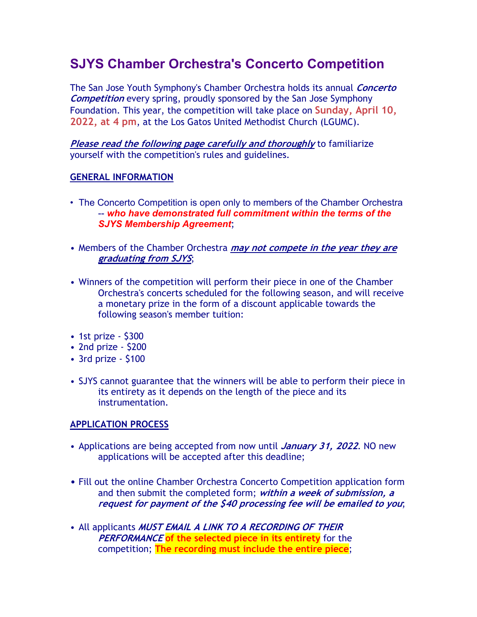# **SJYS Chamber Orchestra's Concerto Competition**

The San Jose Youth Symphony's Chamber Orchestra holds its annual **Concerto Competition** every spring, proudly sponsored by the San Jose Symphony Foundation. This year, the competition will take place on **Sunday, April 10, 2022, at 4 pm**, at the Los Gatos United Methodist Church (LGUMC).

**Please read the following page carefully and thoroughly** to familiarize yourself with the competition's rules and guidelines.

### **GENERAL INFORMATION**

- The Concerto Competition is open only to members of the Chamber Orchestra -- *who have demonstrated full commitment within the terms of the SJYS Membership Agreement*;
- Members of the Chamber Orchestra **may not compete in the year they are graduating from SJYS**;
- Winners of the competition will perform their piece in one of the Chamber Orchestra's concerts scheduled for the following season, and will receive a monetary prize in the form of a discount applicable towards the following season's member tuition:
- 1st prize \$300
- 2nd prize \$200
- 3rd prize \$100
- SJYS cannot guarantee that the winners will be able to perform their piece in its entirety as it depends on the length of the piece and its instrumentation.

# **APPLICATION PROCESS**

- Applications are being accepted from now until **January 31, 2022**. NO new applications will be accepted after this deadline;
- Fill out the online Chamber Orchestra Concerto Competition application form and then submit the completed form; **within a week of submission, a request for payment of the \$40 processing fee will be emailed to you**;
- All applicants **MUST EMAIL A LINK TO A RECORDING OF THEIR PERFORMANCE of the selected piece in its entirety** for the competition; **The recording must include the entire piece**;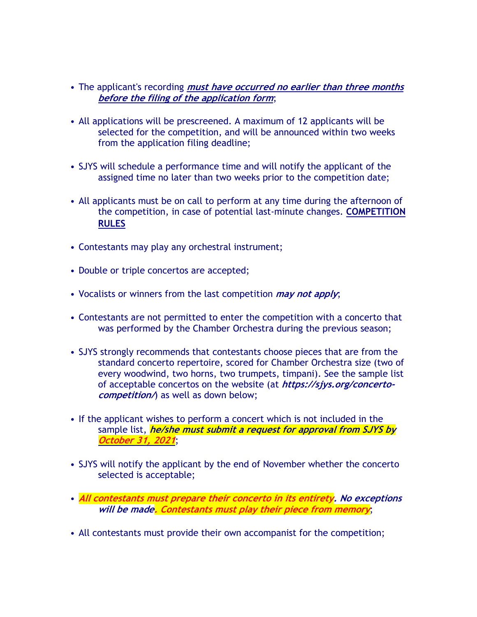- The applicant's recording **must have occurred no earlier than three months before the filing of the application form**;
- All applications will be prescreened. A maximum of 12 applicants will be selected for the competition, and will be announced within two weeks from the application filing deadline;
- SJYS will schedule a performance time and will notify the applicant of the assigned time no later than two weeks prior to the competition date;
- All applicants must be on call to perform at any time during the afternoon of the competition, in case of potential last-minute changes. **COMPETITION RULES**
- Contestants may play any orchestral instrument;
- Double or triple concertos are accepted;
- Vocalists or winners from the last competition **may not apply**;
- Contestants are not permitted to enter the competition with a concerto that was performed by the Chamber Orchestra during the previous season;
- SJYS strongly recommends that contestants choose pieces that are from the standard concerto repertoire, scored for Chamber Orchestra size (two of every woodwind, two horns, two trumpets, timpani). See the sample list of acceptable concertos on the website (at **https://sjys.org/concertocompetition/**) as well as down below;
- If the applicant wishes to perform a concert which is not included in the sample list, **he/she must submit a request for approval from SJYS by October 31, 2021**;
- SJYS will notify the applicant by the end of November whether the concerto selected is acceptable;
- **All contestants must prepare their concerto in its entirety. No exceptions will be made. Contestants must play their piece from memory**;
- All contestants must provide their own accompanist for the competition;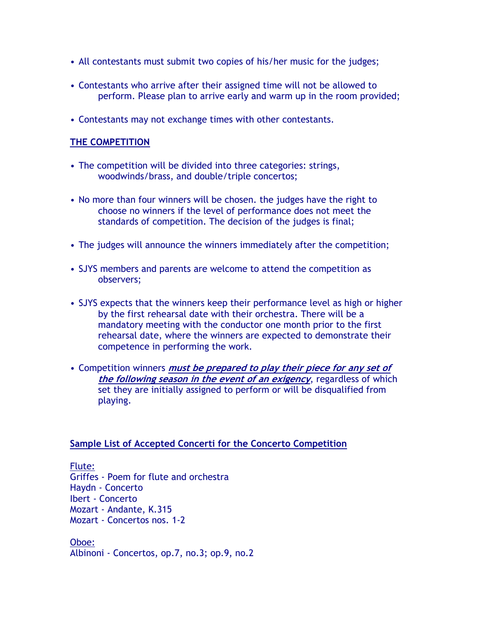- All contestants must submit two copies of his/her music for the judges;
- Contestants who arrive after their assigned time will not be allowed to perform. Please plan to arrive early and warm up in the room provided;
- Contestants may not exchange times with other contestants.

#### **THE COMPETITION**

- The competition will be divided into three categories: strings, woodwinds/brass, and double/triple concertos;
- No more than four winners will be chosen. the judges have the right to choose no winners if the level of performance does not meet the standards of competition. The decision of the judges is final;
- The judges will announce the winners immediately after the competition;
- SJYS members and parents are welcome to attend the competition as observers;
- SJYS expects that the winners keep their performance level as high or higher by the first rehearsal date with their orchestra. There will be a mandatory meeting with the conductor one month prior to the first rehearsal date, where the winners are expected to demonstrate their competence in performing the work.
- Competition winners **must be prepared to play their piece for any set of the following season in the event of an exigency**, regardless of which set they are initially assigned to perform or will be disqualified from playing.

#### **Sample List of Accepted Concerti for the Concerto Competition**

Flute:

Griffes - Poem for flute and orchestra Haydn - Concerto Ibert - Concerto Mozart - Andante, K.315 Mozart - Concertos nos. 1-2

Oboe: Albinoni - Concertos, op.7, no.3; op.9, no.2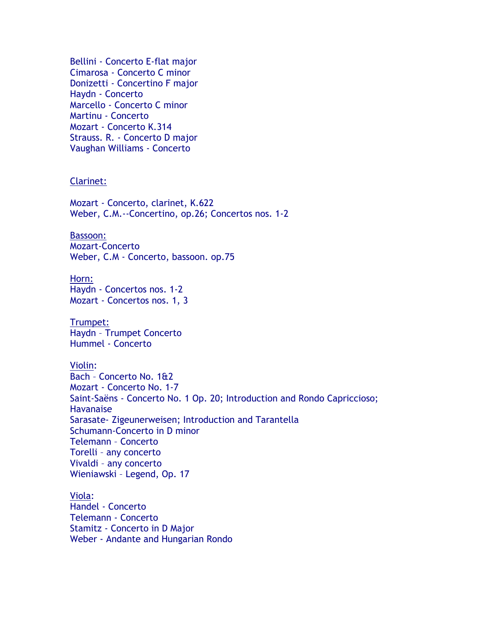Bellini - Concerto E-flat major Cimarosa - Concerto C minor Donizetti - Concertino F major Haydn - Concerto Marcello - Concerto C minor Martinu - Concerto Mozart - Concerto K.314 Strauss. R. - Concerto D major Vaughan Williams - Concerto

#### Clarinet:

Mozart - Concerto, clarinet, K.622 Weber, C.M.--Concertino, op.26; Concertos nos. 1-2

# Bassoon:

Mozart-Concerto Weber, C.M - Concerto, bassoon. op.75

Horn: Haydn - Concertos nos. 1-2 Mozart - Concertos nos. 1, 3

Trumpet: Haydn – Trumpet Concerto Hummel - Concerto

Violin:

Bach – Concerto No. 1&2 Mozart - Concerto No. 1-7 Saint-Saëns - Concerto No. 1 Op. 20; Introduction and Rondo Capriccioso; **Havanaise** Sarasate- Zigeunerweisen; Introduction and Tarantella Schumann-Concerto in D minor Telemann – Concerto Torelli – any concerto Vivaldi – any concerto Wieniawski – Legend, Op. 17

Viola: Handel - Concerto Telemann - Concerto Stamitz - Concerto in D Major Weber - Andante and Hungarian Rondo